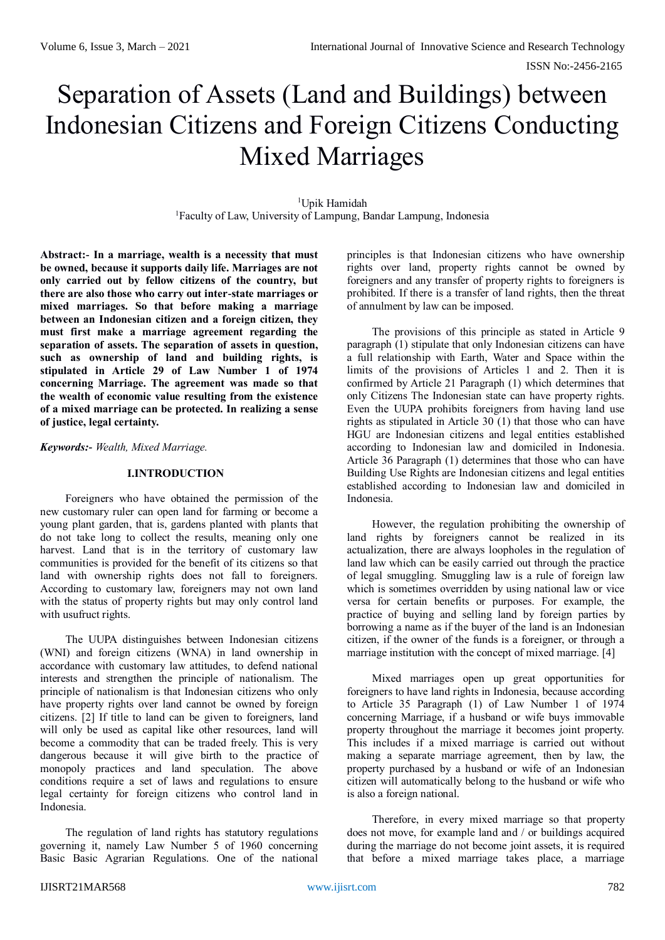# Separation of Assets (Land and Buildings) between Indonesian Citizens and Foreign Citizens Conducting Mixed Marriages

<sup>1</sup>Upik Hamidah <sup>1</sup>Faculty of Law, University of Lampung, Bandar Lampung, Indonesia

**Abstract:- In a marriage, wealth is a necessity that must be owned, because it supports daily life. Marriages are not only carried out by fellow citizens of the country, but there are also those who carry out inter-state marriages or mixed marriages. So that before making a marriage between an Indonesian citizen and a foreign citizen, they must first make a marriage agreement regarding the separation of assets. The separation of assets in question, such as ownership of land and building rights, is stipulated in Article 29 of Law Number 1 of 1974 concerning Marriage. The agreement was made so that the wealth of economic value resulting from the existence of a mixed marriage can be protected. In realizing a sense of justice, legal certainty.**

*Keywords:- Wealth, Mixed Marriage.*

## **I.INTRODUCTION**

Foreigners who have obtained the permission of the new customary ruler can open land for farming or become a young plant garden, that is, gardens planted with plants that do not take long to collect the results, meaning only one harvest. Land that is in the territory of customary law communities is provided for the benefit of its citizens so that land with ownership rights does not fall to foreigners. According to customary law, foreigners may not own land with the status of property rights but may only control land with usufruct rights.

The UUPA distinguishes between Indonesian citizens (WNI) and foreign citizens (WNA) in land ownership in accordance with customary law attitudes, to defend national interests and strengthen the principle of nationalism. The principle of nationalism is that Indonesian citizens who only have property rights over land cannot be owned by foreign citizens. [2] If title to land can be given to foreigners, land will only be used as capital like other resources, land will become a commodity that can be traded freely. This is very dangerous because it will give birth to the practice of monopoly practices and land speculation. The above conditions require a set of laws and regulations to ensure legal certainty for foreign citizens who control land in Indonesia.

The regulation of land rights has statutory regulations governing it, namely Law Number 5 of 1960 concerning Basic Basic Agrarian Regulations. One of the national

principles is that Indonesian citizens who have ownership rights over land, property rights cannot be owned by foreigners and any transfer of property rights to foreigners is prohibited. If there is a transfer of land rights, then the threat of annulment by law can be imposed.

The provisions of this principle as stated in Article 9 paragraph (1) stipulate that only Indonesian citizens can have a full relationship with Earth, Water and Space within the limits of the provisions of Articles 1 and 2. Then it is confirmed by Article 21 Paragraph (1) which determines that only Citizens The Indonesian state can have property rights. Even the UUPA prohibits foreigners from having land use rights as stipulated in Article  $30(1)$  that those who can have HGU are Indonesian citizens and legal entities established according to Indonesian law and domiciled in Indonesia. Article 36 Paragraph (1) determines that those who can have Building Use Rights are Indonesian citizens and legal entities established according to Indonesian law and domiciled in Indonesia.

However, the regulation prohibiting the ownership of land rights by foreigners cannot be realized in its actualization, there are always loopholes in the regulation of land law which can be easily carried out through the practice of legal smuggling. Smuggling law is a rule of foreign law which is sometimes overridden by using national law or vice versa for certain benefits or purposes. For example, the practice of buying and selling land by foreign parties by borrowing a name as if the buyer of the land is an Indonesian citizen, if the owner of the funds is a foreigner, or through a marriage institution with the concept of mixed marriage. [4]

Mixed marriages open up great opportunities for foreigners to have land rights in Indonesia, because according to Article 35 Paragraph (1) of Law Number 1 of 1974 concerning Marriage, if a husband or wife buys immovable property throughout the marriage it becomes joint property. This includes if a mixed marriage is carried out without making a separate marriage agreement, then by law, the property purchased by a husband or wife of an Indonesian citizen will automatically belong to the husband or wife who is also a foreign national.

Therefore, in every mixed marriage so that property does not move, for example land and / or buildings acquired during the marriage do not become joint assets, it is required that before a mixed marriage takes place, a marriage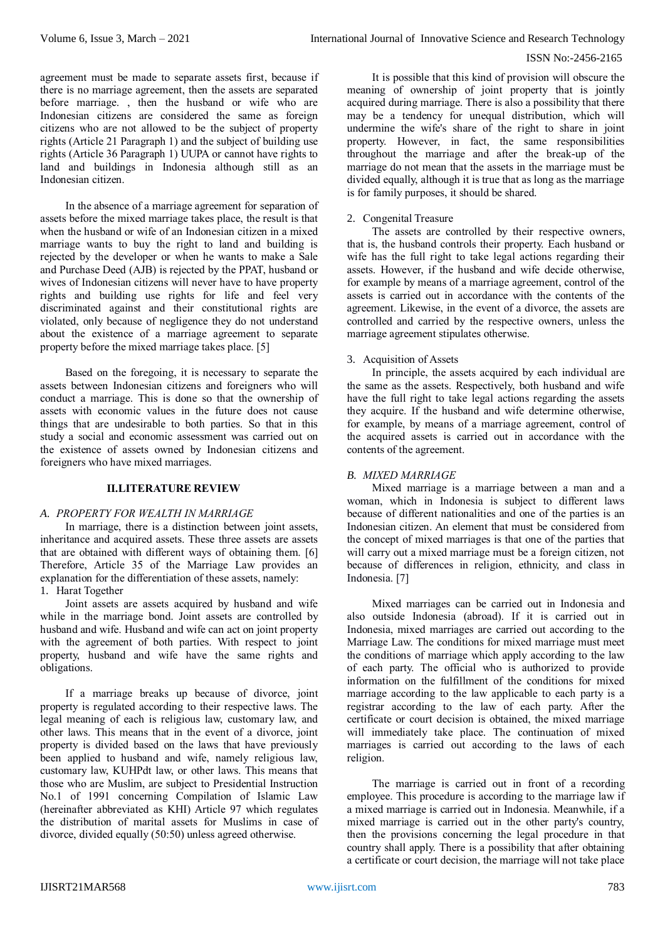#### ISSN No:-2456-2165

agreement must be made to separate assets first, because if there is no marriage agreement, then the assets are separated before marriage. , then the husband or wife who are Indonesian citizens are considered the same as foreign citizens who are not allowed to be the subject of property rights (Article 21 Paragraph 1) and the subject of building use rights (Article 36 Paragraph 1) UUPA or cannot have rights to land and buildings in Indonesia although still as an Indonesian citizen.

In the absence of a marriage agreement for separation of assets before the mixed marriage takes place, the result is that when the husband or wife of an Indonesian citizen in a mixed marriage wants to buy the right to land and building is rejected by the developer or when he wants to make a Sale and Purchase Deed (AJB) is rejected by the PPAT, husband or wives of Indonesian citizens will never have to have property rights and building use rights for life and feel very discriminated against and their constitutional rights are violated, only because of negligence they do not understand about the existence of a marriage agreement to separate property before the mixed marriage takes place. [5]

Based on the foregoing, it is necessary to separate the assets between Indonesian citizens and foreigners who will conduct a marriage. This is done so that the ownership of assets with economic values in the future does not cause things that are undesirable to both parties. So that in this study a social and economic assessment was carried out on the existence of assets owned by Indonesian citizens and foreigners who have mixed marriages.

## **II.LITERATURE REVIEW**

#### *A. PROPERTY FOR WEALTH IN MARRIAGE*

In marriage, there is a distinction between joint assets, inheritance and acquired assets. These three assets are assets that are obtained with different ways of obtaining them. [6] Therefore, Article 35 of the Marriage Law provides an explanation for the differentiation of these assets, namely: 1. Harat Together

Joint assets are assets acquired by husband and wife while in the marriage bond. Joint assets are controlled by husband and wife. Husband and wife can act on joint property with the agreement of both parties. With respect to joint property, husband and wife have the same rights and obligations.

If a marriage breaks up because of divorce, joint property is regulated according to their respective laws. The legal meaning of each is religious law, customary law, and other laws. This means that in the event of a divorce, joint property is divided based on the laws that have previously been applied to husband and wife, namely religious law, customary law, KUHPdt law, or other laws. This means that those who are Muslim, are subject to Presidential Instruction No.1 of 1991 concerning Compilation of Islamic Law (hereinafter abbreviated as KHI) Article 97 which regulates the distribution of marital assets for Muslims in case of divorce, divided equally (50:50) unless agreed otherwise.

It is possible that this kind of provision will obscure the meaning of ownership of joint property that is jointly acquired during marriage. There is also a possibility that there may be a tendency for unequal distribution, which will undermine the wife's share of the right to share in joint property. However, in fact, the same responsibilities throughout the marriage and after the break-up of the marriage do not mean that the assets in the marriage must be divided equally, although it is true that as long as the marriage is for family purposes, it should be shared.

#### 2. Congenital Treasure

The assets are controlled by their respective owners, that is, the husband controls their property. Each husband or wife has the full right to take legal actions regarding their assets. However, if the husband and wife decide otherwise, for example by means of a marriage agreement, control of the assets is carried out in accordance with the contents of the agreement. Likewise, in the event of a divorce, the assets are controlled and carried by the respective owners, unless the marriage agreement stipulates otherwise.

# 3. Acquisition of Assets

In principle, the assets acquired by each individual are the same as the assets. Respectively, both husband and wife have the full right to take legal actions regarding the assets they acquire. If the husband and wife determine otherwise, for example, by means of a marriage agreement, control of the acquired assets is carried out in accordance with the contents of the agreement.

# *B. MIXED MARRIAGE*

Mixed marriage is a marriage between a man and a woman, which in Indonesia is subject to different laws because of different nationalities and one of the parties is an Indonesian citizen. An element that must be considered from the concept of mixed marriages is that one of the parties that will carry out a mixed marriage must be a foreign citizen, not because of differences in religion, ethnicity, and class in Indonesia. [7]

Mixed marriages can be carried out in Indonesia and also outside Indonesia (abroad). If it is carried out in Indonesia, mixed marriages are carried out according to the Marriage Law. The conditions for mixed marriage must meet the conditions of marriage which apply according to the law of each party. The official who is authorized to provide information on the fulfillment of the conditions for mixed marriage according to the law applicable to each party is a registrar according to the law of each party. After the certificate or court decision is obtained, the mixed marriage will immediately take place. The continuation of mixed marriages is carried out according to the laws of each religion.

The marriage is carried out in front of a recording employee. This procedure is according to the marriage law if a mixed marriage is carried out in Indonesia. Meanwhile, if a mixed marriage is carried out in the other party's country, then the provisions concerning the legal procedure in that country shall apply. There is a possibility that after obtaining a certificate or court decision, the marriage will not take place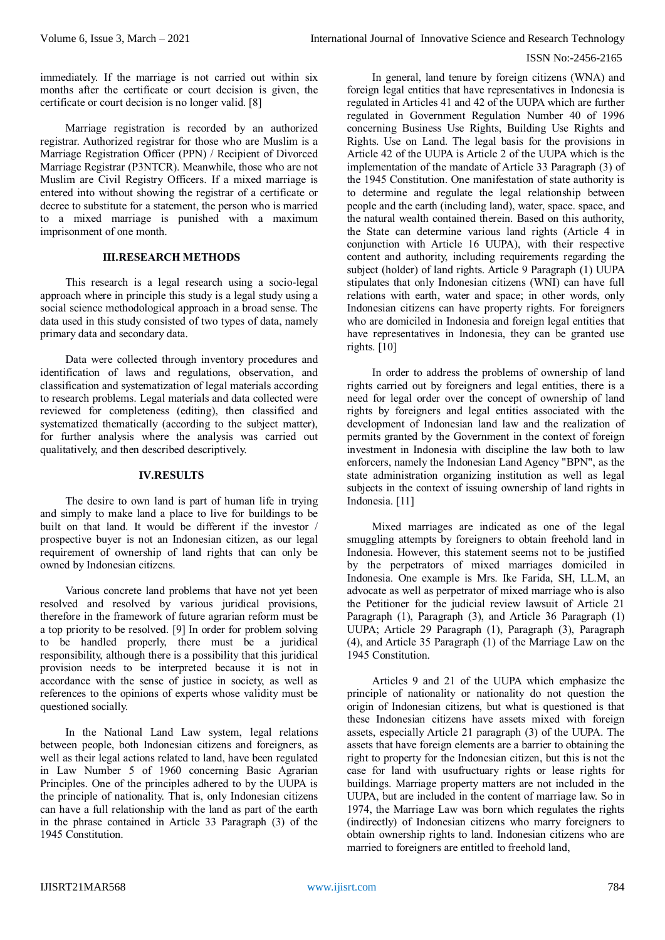## ISSN No:-2456-2165

immediately. If the marriage is not carried out within six months after the certificate or court decision is given, the certificate or court decision is no longer valid. [8]

Marriage registration is recorded by an authorized registrar. Authorized registrar for those who are Muslim is a Marriage Registration Officer (PPN) / Recipient of Divorced Marriage Registrar (P3NTCR). Meanwhile, those who are not Muslim are Civil Registry Officers. If a mixed marriage is entered into without showing the registrar of a certificate or decree to substitute for a statement, the person who is married to a mixed marriage is punished with a maximum imprisonment of one month.

## **III.RESEARCH METHODS**

This research is a legal research using a socio-legal approach where in principle this study is a legal study using a social science methodological approach in a broad sense. The data used in this study consisted of two types of data, namely primary data and secondary data.

Data were collected through inventory procedures and identification of laws and regulations, observation, and classification and systematization of legal materials according to research problems. Legal materials and data collected were reviewed for completeness (editing), then classified and systematized thematically (according to the subject matter), for further analysis where the analysis was carried out qualitatively, and then described descriptively.

#### **IV.RESULTS**

The desire to own land is part of human life in trying and simply to make land a place to live for buildings to be built on that land. It would be different if the investor / prospective buyer is not an Indonesian citizen, as our legal requirement of ownership of land rights that can only be owned by Indonesian citizens.

Various concrete land problems that have not yet been resolved and resolved by various juridical provisions, therefore in the framework of future agrarian reform must be a top priority to be resolved. [9] In order for problem solving to be handled properly, there must be a juridical responsibility, although there is a possibility that this juridical provision needs to be interpreted because it is not in accordance with the sense of justice in society, as well as references to the opinions of experts whose validity must be questioned socially.

In the National Land Law system, legal relations between people, both Indonesian citizens and foreigners, as well as their legal actions related to land, have been regulated in Law Number 5 of 1960 concerning Basic Agrarian Principles. One of the principles adhered to by the UUPA is the principle of nationality. That is, only Indonesian citizens can have a full relationship with the land as part of the earth in the phrase contained in Article 33 Paragraph (3) of the 1945 Constitution.

In general, land tenure by foreign citizens (WNA) and foreign legal entities that have representatives in Indonesia is regulated in Articles 41 and 42 of the UUPA which are further regulated in Government Regulation Number 40 of 1996 concerning Business Use Rights, Building Use Rights and Rights. Use on Land. The legal basis for the provisions in Article 42 of the UUPA is Article 2 of the UUPA which is the implementation of the mandate of Article 33 Paragraph (3) of the 1945 Constitution. One manifestation of state authority is to determine and regulate the legal relationship between people and the earth (including land), water, space. space, and the natural wealth contained therein. Based on this authority, the State can determine various land rights (Article 4 in conjunction with Article 16 UUPA), with their respective content and authority, including requirements regarding the subject (holder) of land rights. Article 9 Paragraph (1) UUPA stipulates that only Indonesian citizens (WNI) can have full relations with earth, water and space; in other words, only Indonesian citizens can have property rights. For foreigners who are domiciled in Indonesia and foreign legal entities that have representatives in Indonesia, they can be granted use rights. [10]

In order to address the problems of ownership of land rights carried out by foreigners and legal entities, there is a need for legal order over the concept of ownership of land rights by foreigners and legal entities associated with the development of Indonesian land law and the realization of permits granted by the Government in the context of foreign investment in Indonesia with discipline the law both to law enforcers, namely the Indonesian Land Agency "BPN", as the state administration organizing institution as well as legal subjects in the context of issuing ownership of land rights in Indonesia. [11]

Mixed marriages are indicated as one of the legal smuggling attempts by foreigners to obtain freehold land in Indonesia. However, this statement seems not to be justified by the perpetrators of mixed marriages domiciled in Indonesia. One example is Mrs. Ike Farida, SH, LL.M, an advocate as well as perpetrator of mixed marriage who is also the Petitioner for the judicial review lawsuit of Article 21 Paragraph (1), Paragraph (3), and Article 36 Paragraph (1) UUPA; Article 29 Paragraph (1), Paragraph (3), Paragraph (4), and Article 35 Paragraph (1) of the Marriage Law on the 1945 Constitution.

Articles 9 and 21 of the UUPA which emphasize the principle of nationality or nationality do not question the origin of Indonesian citizens, but what is questioned is that these Indonesian citizens have assets mixed with foreign assets, especially Article 21 paragraph (3) of the UUPA. The assets that have foreign elements are a barrier to obtaining the right to property for the Indonesian citizen, but this is not the case for land with usufructuary rights or lease rights for buildings. Marriage property matters are not included in the UUPA, but are included in the content of marriage law. So in 1974, the Marriage Law was born which regulates the rights (indirectly) of Indonesian citizens who marry foreigners to obtain ownership rights to land. Indonesian citizens who are married to foreigners are entitled to freehold land,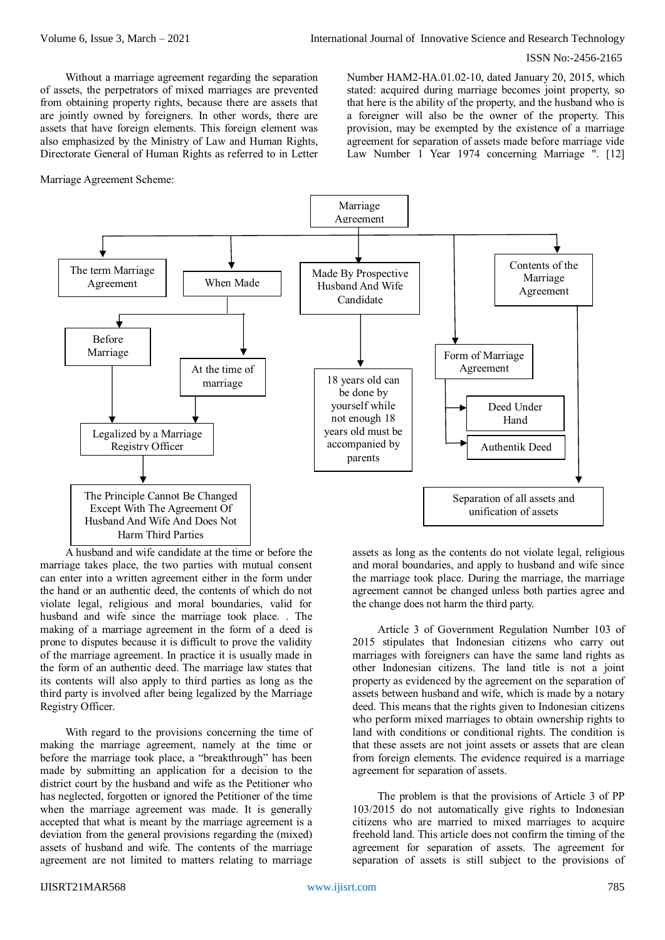#### ISSN No:-2456-2165

Without a marriage agreement regarding the separation of assets, the perpetrators of mixed marriages are prevented from obtaining property rights, because there are assets that are jointly owned by foreigners. In other words, there are assets that have foreign elements. This foreign element was also emphasized by the Ministry of Law and Human Rights, Directorate General of Human Rights as referred to in Letter

Marriage Agreement Scheme:

Number HAM2-HA.01.02-10, dated January 20, 2015, which stated: acquired during marriage becomes joint property, so that here is the ability of the property, and the husband who is a foreigner will also be the owner of the property. This provision, may be exempted by the existence of a marriage agreement for separation of assets made before marriage vide Law Number 1 Year 1974 concerning Marriage ". [12]



A husband and wife candidate at the time or before the marriage takes place, the two parties with mutual consent can enter into a written agreement either in the form under the hand or an authentic deed, the contents of which do not violate legal, religious and moral boundaries, valid for husband and wife since the marriage took place. . The making of a marriage agreement in the form of a deed is prone to disputes because it is difficult to prove the validity of the marriage agreement. In practice it is usually made in the form of an authentic deed. The marriage law states that its contents will also apply to third parties as long as the third party is involved after being legalized by the Marriage Registry Officer.

With regard to the provisions concerning the time of making the marriage agreement, namely at the time or before the marriage took place, a "breakthrough" has been made by submitting an application for a decision to the district court by the husband and wife as the Petitioner who has neglected, forgotten or ignored the Petitioner of the time when the marriage agreement was made. It is generally accepted that what is meant by the marriage agreement is a deviation from the general provisions regarding the (mixed) assets of husband and wife. The contents of the marriage agreement are not limited to matters relating to marriage

assets as long as the contents do not violate legal, religious and moral boundaries, and apply to husband and wife since the marriage took place. During the marriage, the marriage agreement cannot be changed unless both parties agree and the change does not harm the third party.

Article 3 of Government Regulation Number 103 of 2015 stipulates that Indonesian citizens who carry out marriages with foreigners can have the same land rights as other Indonesian citizens. The land title is not a joint property as evidenced by the agreement on the separation of assets between husband and wife, which is made by a notary deed. This means that the rights given to Indonesian citizens who perform mixed marriages to obtain ownership rights to land with conditions or conditional rights. The condition is that these assets are not joint assets or assets that are clean from foreign elements. The evidence required is a marriage agreement for separation of assets.

The problem is that the provisions of Article 3 of PP 103/2015 do not automatically give rights to Indonesian citizens who are married to mixed marriages to acquire freehold land. This article does not confirm the timing of the agreement for separation of assets. The agreement for separation of assets is still subject to the provisions of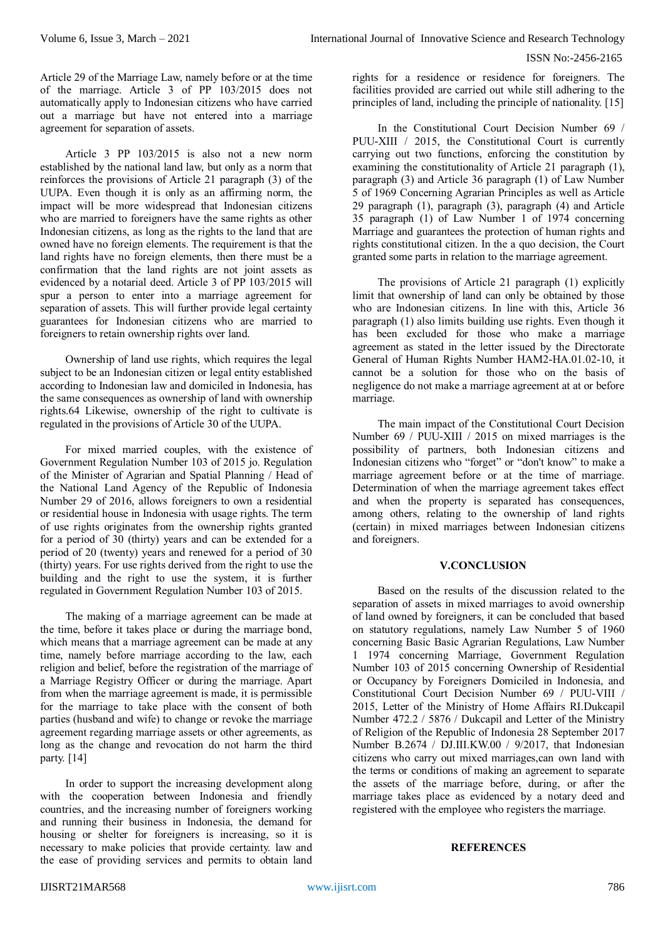Article 29 of the Marriage Law, namely before or at the time of the marriage. Article 3 of PP 103/2015 does not automatically apply to Indonesian citizens who have carried out a marriage but have not entered into a marriage agreement for separation of assets.

Article 3 PP 103/2015 is also not a new norm established by the national land law, but only as a norm that reinforces the provisions of Article 21 paragraph (3) of the UUPA. Even though it is only as an affirming norm, the impact will be more widespread that Indonesian citizens who are married to foreigners have the same rights as other Indonesian citizens, as long as the rights to the land that are owned have no foreign elements. The requirement is that the land rights have no foreign elements, then there must be a confirmation that the land rights are not joint assets as evidenced by a notarial deed. Article 3 of PP 103/2015 will spur a person to enter into a marriage agreement for separation of assets. This will further provide legal certainty guarantees for Indonesian citizens who are married to foreigners to retain ownership rights over land.

Ownership of land use rights, which requires the legal subject to be an Indonesian citizen or legal entity established according to Indonesian law and domiciled in Indonesia, has the same consequences as ownership of land with ownership rights.64 Likewise, ownership of the right to cultivate is regulated in the provisions of Article 30 of the UUPA.

For mixed married couples, with the existence of Government Regulation Number 103 of 2015 jo. Regulation of the Minister of Agrarian and Spatial Planning / Head of the National Land Agency of the Republic of Indonesia Number 29 of 2016, allows foreigners to own a residential or residential house in Indonesia with usage rights. The term of use rights originates from the ownership rights granted for a period of 30 (thirty) years and can be extended for a period of 20 (twenty) years and renewed for a period of 30 (thirty) years. For use rights derived from the right to use the building and the right to use the system, it is further regulated in Government Regulation Number 103 of 2015.

The making of a marriage agreement can be made at the time, before it takes place or during the marriage bond, which means that a marriage agreement can be made at any time, namely before marriage according to the law, each religion and belief, before the registration of the marriage of a Marriage Registry Officer or during the marriage. Apart from when the marriage agreement is made, it is permissible for the marriage to take place with the consent of both parties (husband and wife) to change or revoke the marriage agreement regarding marriage assets or other agreements, as long as the change and revocation do not harm the third party. [14]

In order to support the increasing development along with the cooperation between Indonesia and friendly countries, and the increasing number of foreigners working and running their business in Indonesia, the demand for housing or shelter for foreigners is increasing, so it is necessary to make policies that provide certainty. law and the ease of providing services and permits to obtain land

rights for a residence or residence for foreigners. The facilities provided are carried out while still adhering to the principles of land, including the principle of nationality. [15]

In the Constitutional Court Decision Number 69 / PUU-XIII / 2015, the Constitutional Court is currently carrying out two functions, enforcing the constitution by examining the constitutionality of Article 21 paragraph (1), paragraph (3) and Article 36 paragraph (1) of Law Number 5 of 1969 Concerning Agrarian Principles as well as Article 29 paragraph (1), paragraph (3), paragraph (4) and Article 35 paragraph (1) of Law Number 1 of 1974 concerning Marriage and guarantees the protection of human rights and rights constitutional citizen. In the a quo decision, the Court granted some parts in relation to the marriage agreement.

The provisions of Article 21 paragraph (1) explicitly limit that ownership of land can only be obtained by those who are Indonesian citizens. In line with this, Article 36 paragraph (1) also limits building use rights. Even though it has been excluded for those who make a marriage agreement as stated in the letter issued by the Directorate General of Human Rights Number HAM2-HA.01.02-10, it cannot be a solution for those who on the basis of negligence do not make a marriage agreement at at or before marriage.

The main impact of the Constitutional Court Decision Number 69 / PUU-XIII / 2015 on mixed marriages is the possibility of partners, both Indonesian citizens and Indonesian citizens who "forget" or "don't know" to make a marriage agreement before or at the time of marriage. Determination of when the marriage agreement takes effect and when the property is separated has consequences, among others, relating to the ownership of land rights (certain) in mixed marriages between Indonesian citizens and foreigners.

# **V.CONCLUSION**

Based on the results of the discussion related to the separation of assets in mixed marriages to avoid ownership of land owned by foreigners, it can be concluded that based on statutory regulations, namely Law Number 5 of 1960 concerning Basic Basic Agrarian Regulations, Law Number 1 1974 concerning Marriage, Government Regulation Number 103 of 2015 concerning Ownership of Residential or Occupancy by Foreigners Domiciled in Indonesia, and Constitutional Court Decision Number 69 / PUU-VIII / 2015, Letter of the Ministry of Home Affairs RI.Dukcapil Number 472.2 / 5876 / Dukcapil and Letter of the Ministry of Religion of the Republic of Indonesia 28 September 2017 Number B.2674 / DJ.III.KW.00 / 9/2017, that Indonesian citizens who carry out mixed marriages,can own land with the terms or conditions of making an agreement to separate the assets of the marriage before, during, or after the marriage takes place as evidenced by a notary deed and registered with the employee who registers the marriage.

# **REFERENCES**